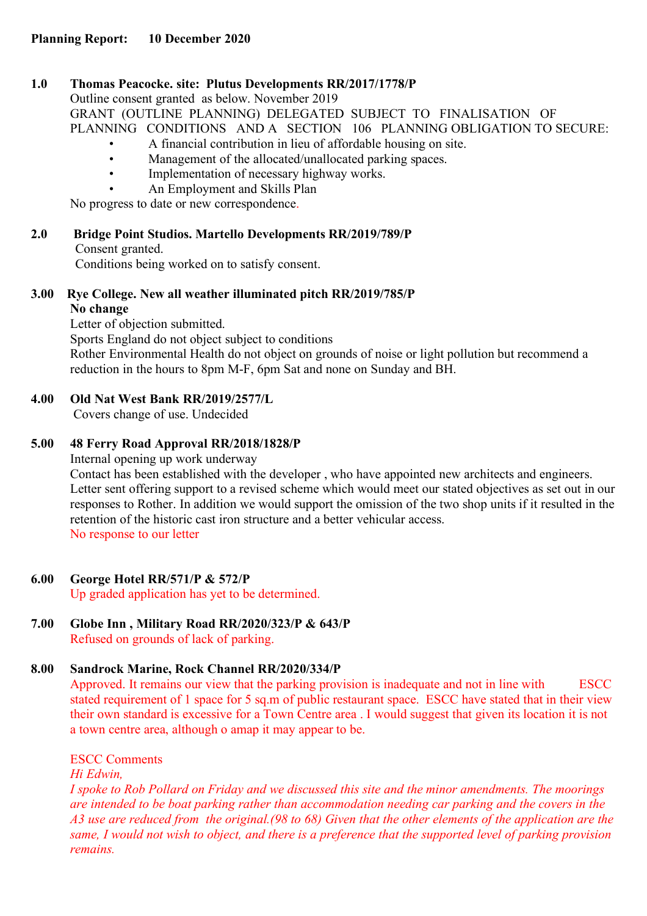#### **1.0 Thomas Peacocke. site: Plutus Developments RR/2017/1778/P**

Outline consent granted as below. November 2019

GRANT (OUTLINE PLANNING) DELEGATED SUBJECT TO FINALISATION OF PLANNING CONDITIONS AND A SECTION 106 PLANNING OBLIGATION TO SECURE:

- A financial contribution in lieu of affordable housing on site.
- Management of the allocated/unallocated parking spaces.
- Implementation of necessary highway works.
- An Employment and Skills Plan

No progress to date or new correspondence.

## **2.0 Bridge Point Studios. Martello Developments RR/2019/789/P**

#### Consent granted.

Conditions being worked on to satisfy consent.

#### **3.00 Rye College. New all weather illuminated pitch RR/2019/785/P No change**

Letter of objection submitted.

Sports England do not object subject to conditions

Rother Environmental Health do not object on grounds of noise or light pollution but recommend a reduction in the hours to 8pm M-F, 6pm Sat and none on Sunday and BH.

## **4.00 Old Nat West Bank RR/2019/2577/L**

Covers change of use. Undecided

## **5.00 48 Ferry Road Approval RR/2018/1828/P**

Internal opening up work underway Contact has been established with the developer , who have appointed new architects and engineers. Letter sent offering support to a revised scheme which would meet our stated objectives as set out in our responses to Rother. In addition we would support the omission of the two shop units if it resulted in the retention of the historic cast iron structure and a better vehicular access. No response to our letter

## **6.00 George Hotel RR/571/P & 572/P**

Up graded application has yet to be determined.

# **7.00 Globe Inn , Military Road RR/2020/323/P & 643/P**

Refused on grounds of lack of parking.

## **8.00 Sandrock Marine, Rock Channel RR/2020/334/P**

Approved. It remains our view that the parking provision is inadequate and not in line with ESCC stated requirement of 1 space for 5 sq.m of public restaurant space. ESCC have stated that in their view their own standard is excessive for a Town Centre area . I would suggest that given its location it is not a town centre area, although o amap it may appear to be.

ESCC Comments

*Hi Edwin,* 

*I spoke to Rob Pollard on Friday and we discussed this site and the minor amendments. The moorings are intended to be boat parking rather than accommodation needing car parking and the covers in the A3 use are reduced from the original.(98 to 68) Given that the other elements of the application are the same, I would not wish to object, and there is a preference that the supported level of parking provision remains.*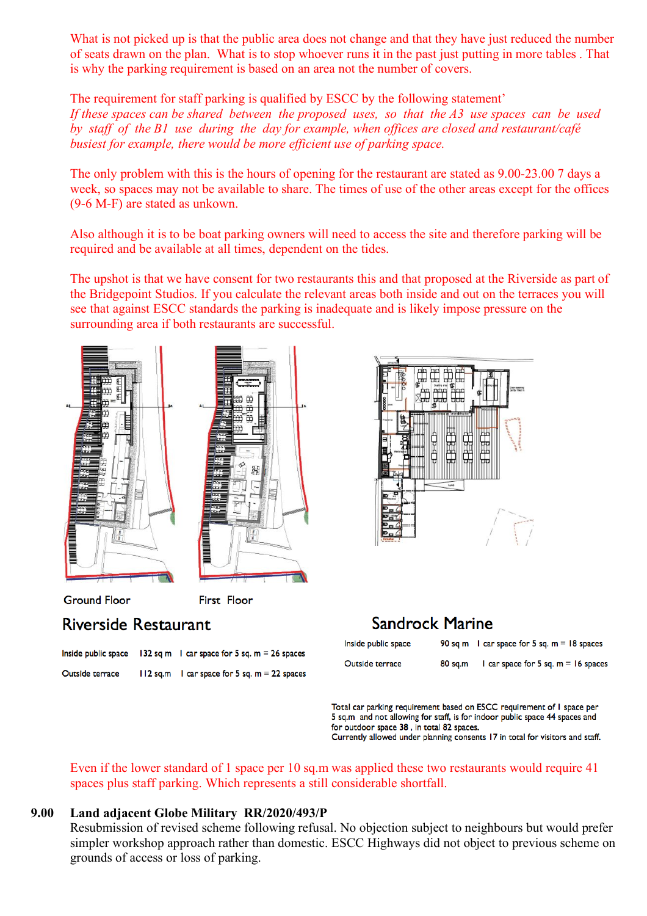What is not picked up is that the public area does not change and that they have just reduced the number of seats drawn on the plan. What is to stop whoever runs it in the past just putting in more tables . That is why the parking requirement is based on an area not the number of covers.

The requirement for staff parking is qualified by ESCC by the following statement' *If these spaces can be shared between the proposed uses, so that the A3 use spaces can be used by staff of the B1 use during the day for example, when offices are closed and restaurant/café busiest for example, there would be more efficient use of parking space.*

The only problem with this is the hours of opening for the restaurant are stated as 9.00-23.00 7 days a week, so spaces may not be available to share. The times of use of the other areas except for the offices (9-6 M-F) are stated as unkown.

Also although it is to be boat parking owners will need to access the site and therefore parking will be required and be available at all times, dependent on the tides.

The upshot is that we have consent for two restaurants this and that proposed at the Riverside as part of the Bridgepoint Studios. If you calculate the relevant areas both inside and out on the terraces you will see that against ESCC standards the parking is inadequate and is likely impose pressure on the surrounding area if both restaurants are successful.



|                 | Inside public space $132$ sq m 1 car space for 5 sq. m = 26 spaces |
|-----------------|--------------------------------------------------------------------|
| Outside terrace | $112$ sq.m $\phantom{1}$ car space for 5 sq. m = 22 spaces         |



# **Sandrock Marine**

| Inside public space |         | 90 sq m $\,$ 1 car space for 5 sq. m = 18 spaces |
|---------------------|---------|--------------------------------------------------|
| Outside terrace     | 80 sq.m | 1 car space for 5 sq. $m = 16$ spaces            |

Total car parking requirement based on ESCC requirement of I space per 5 sq.m and not allowing for staff, is for indoor public space 44 spaces and for outdoor space 38, in total 82 spaces. Currently allowed under planning consents 17 in total for visitors and staff.

Even if the lower standard of 1 space per 10 sq.m was applied these two restaurants would require 41 spaces plus staff parking. Which represents a still considerable shortfall.

#### **9.00 Land adjacent Globe Military RR/2020/493/P**

Resubmission of revised scheme following refusal. No objection subject to neighbours but would prefer simpler workshop approach rather than domestic. ESCC Highways did not object to previous scheme on grounds of access or loss of parking.